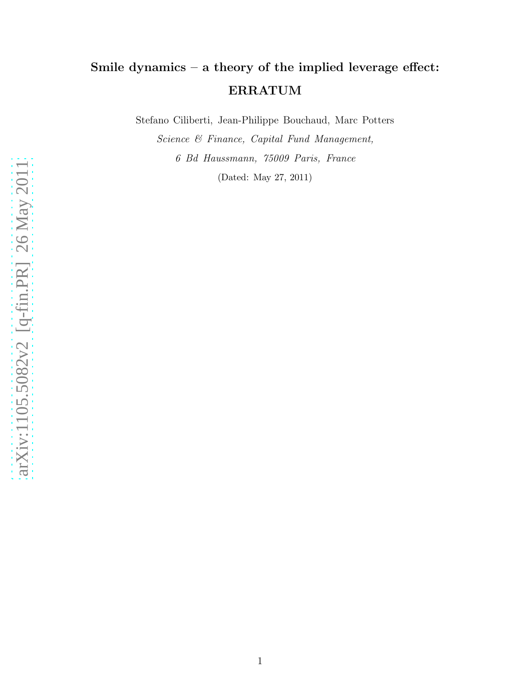## Smile dynamics – a theory of the implied leverage effect: ERRATUM

Stefano Ciliberti, Jean-Philippe Bouchaud, Marc Potters

Science & Finance, Capital Fund Management, 6 Bd Haussmann, 75009 Paris, France (Dated: May 27, 2011)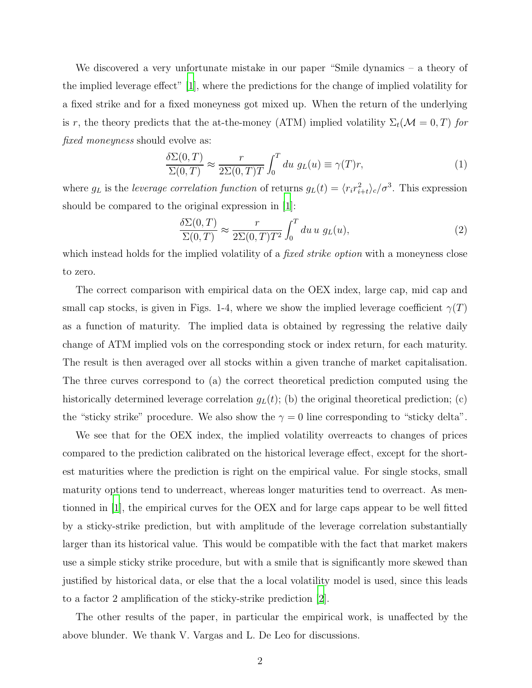We discovered a very unfortunate mistake in our paper "Smile dynamics – a theory of the implied leverage effect" [\[1\]](#page-2-0), where the predictions for the change of implied volatility for a fixed strike and for a fixed moneyness got mixed up. When the return of the underlying is r, the theory predicts that the at-the-money (ATM) implied volatility  $\Sigma_t(\mathcal{M}=0,T)$  for fixed moneyness should evolve as:

$$
\frac{\delta \Sigma(0,T)}{\Sigma(0,T)} \approx \frac{r}{2\Sigma(0,T)T} \int_0^T du \ g_L(u) \equiv \gamma(T)r,
$$
\n(1)

where  $g_L$  is the leverage correlation function of returns  $g_L(t) = \langle r_i r_{i+t}^2 \rangle_c / \sigma^3$ . This expression should be compared to the original expression in [\[1](#page-2-0)]:

$$
\frac{\delta \Sigma(0,T)}{\Sigma(0,T)} \approx \frac{r}{2\Sigma(0,T)T^2} \int_0^T du \, u \, g_L(u),\tag{2}
$$

which instead holds for the implied volatility of a *fixed strike option* with a moneyness close to zero.

The correct comparison with empirical data on the OEX index, large cap, mid cap and small cap stocks, is given in Figs. 1-4, where we show the implied leverage coefficient  $\gamma(T)$ as a function of maturity. The implied data is obtained by regressing the relative daily change of ATM implied vols on the corresponding stock or index return, for each maturity. The result is then averaged over all stocks within a given tranche of market capitalisation. The three curves correspond to (a) the correct theoretical prediction computed using the historically determined leverage correlation  $g_L(t)$ ; (b) the original theoretical prediction; (c) the "sticky strike" procedure. We also show the  $\gamma = 0$  line corresponding to "sticky delta".

We see that for the OEX index, the implied volatility overreacts to changes of prices compared to the prediction calibrated on the historical leverage effect, except for the shortest maturities where the prediction is right on the empirical value. For single stocks, small maturity options tend to underreact, whereas longer maturities tend to overreact. As mentionned in [\[1](#page-2-0)], the empirical curves for the OEX and for large caps appear to be well fitted by a sticky-strike prediction, but with amplitude of the leverage correlation substantially larger than its historical value. This would be compatible with the fact that market makers use a simple sticky strike procedure, but with a smile that is significantly more skewed than justified by historical data, or else that the a local volatility model is used, since this leads to a factor 2 amplification of the sticky-strike prediction [\[2\]](#page-3-0).

The other results of the paper, in particular the empirical work, is unaffected by the above blunder. We thank V. Vargas and L. De Leo for discussions.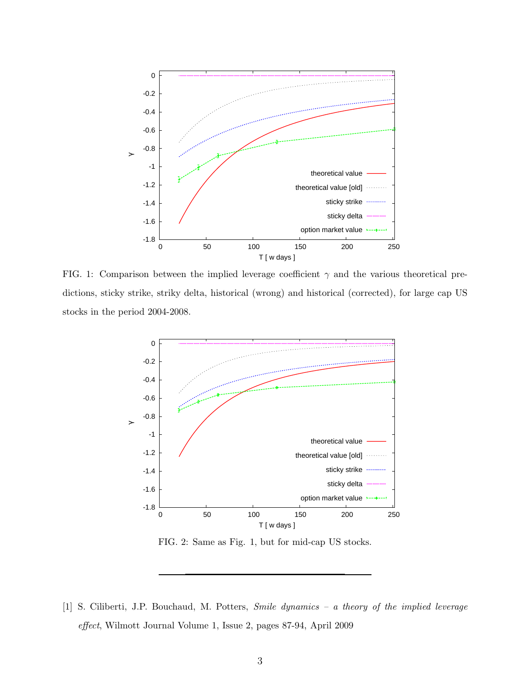

FIG. 1: Comparison between the implied leverage coefficient  $\gamma$  and the various theoretical predictions, sticky strike, striky delta, historical (wrong) and historical (corrected), for large cap US stocks in the period 2004-2008.



FIG. 2: Same as Fig. 1, but for mid-cap US stocks.

<span id="page-2-0"></span>[1] S. Ciliberti, J.P. Bouchaud, M. Potters, Smile dynamics – a theory of the implied leverage effect, Wilmott Journal Volume 1, Issue 2, pages 87-94, April 2009